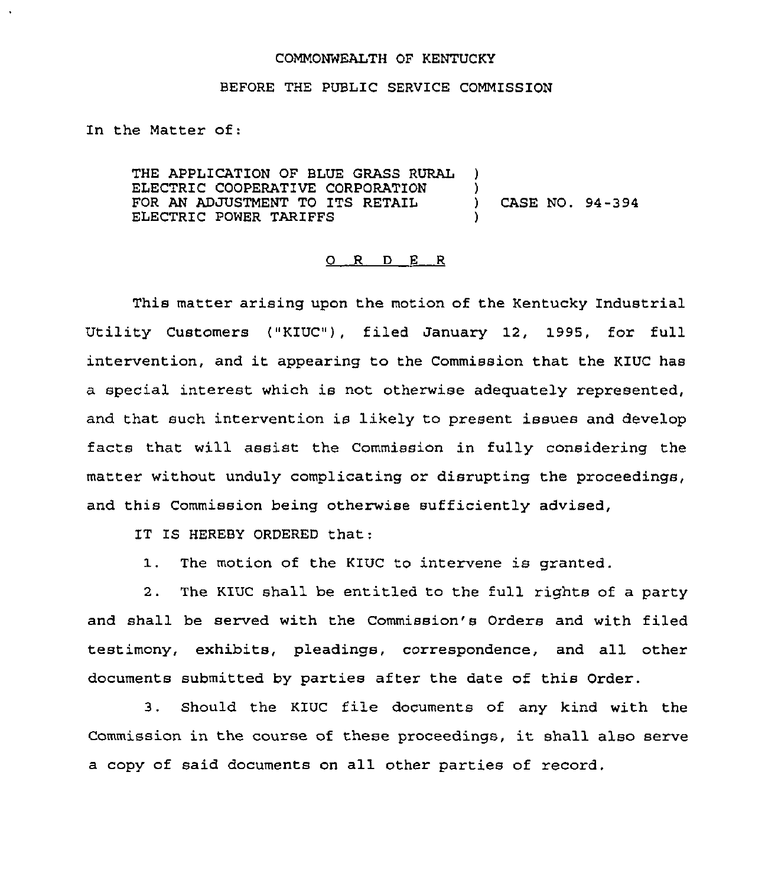## COMMONWEALTH OF KENTUCKY

## BEFORE THE PUBLIC SERVICE COMMISSION

In the Natter of:

THE APPLICATION OF BLUE GRASS RURAL )<br>ELECTRIC COOPERATIVE CORPORATION ) ELECTRIC COOPERATIVE CORPORATION (3)<br>FOR AN ADJUSTMENT TO ITS RETAIL (3) FOR AN ADJUSTMENT TO ITS RETAIL (ASE NO. 94-394 ELECTRIC POWER TARIFFS

## 0 R <sup>D</sup> <sup>E</sup> <sup>R</sup>

This matter arising upon the motion of the Kentucky Industrial Utility Customers ("KIUC"), filed January 12, 1995, for full intervention, and it appearing to the Commission that the KIUC has a special interest which is not otherwise adeguately represented, and that such intervention is likely to present issues and develop facts that will assist the Commission in fully considering the matter without unduly complicating or disrupting the proceedings, and this Commission being otherwise sufficiently advised,

IT IS HEREBY ORDERED that:

1. The motion of the KIUC to intervene is granted.

2. The KIUC shall be entitled to the full rights of a party and shall be served with the Commission's Orders and with filed testimony, exhibits, pleadings, correspondence, and all other documents submitted by parties after the date of this Order.

3. Should the KIUC file documents of any kind with the Commission in the course of these proceedings, it shall also serve a copy of said documents on all other parties of record.